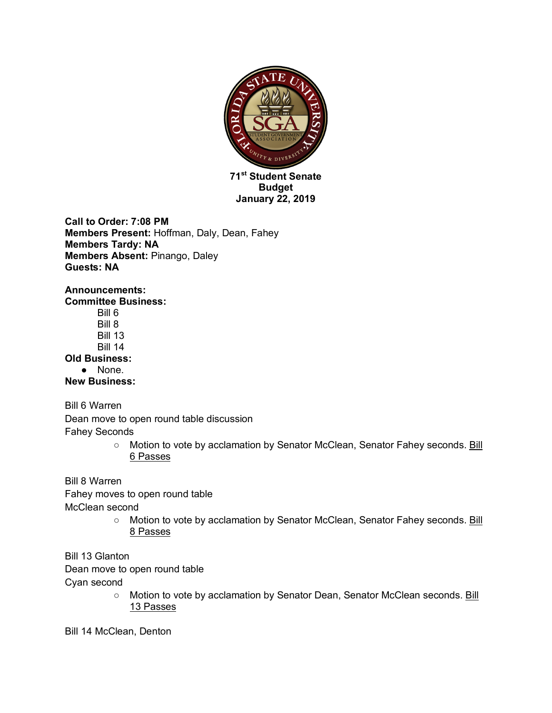

**January 22, 2019**

**Call to Order: 7:08 PM Members Present:** Hoffman, Daly, Dean, Fahey **Members Tardy: NA Members Absent:** Pinango, Daley **Guests: NA**

**Announcements: Committee Business:**  Bill 6 Bill 8 Bill 13 Bill 14 **Old Business:**  ● None. **New Business:**

Bill 6 Warren

Dean move to open round table discussion Fahey Seconds

> o Motion to vote by acclamation by Senator McClean, Senator Fahey seconds. Bill 6 Passes

Bill 8 Warren Fahey moves to open round table McClean second

○ Motion to vote by acclamation by Senator McClean, Senator Fahey seconds. Bill 8 Passes

Bill 13 Glanton Dean move to open round table

Cyan second

o Motion to vote by acclamation by Senator Dean, Senator McClean seconds. Bill 13 Passes

Bill 14 McClean, Denton